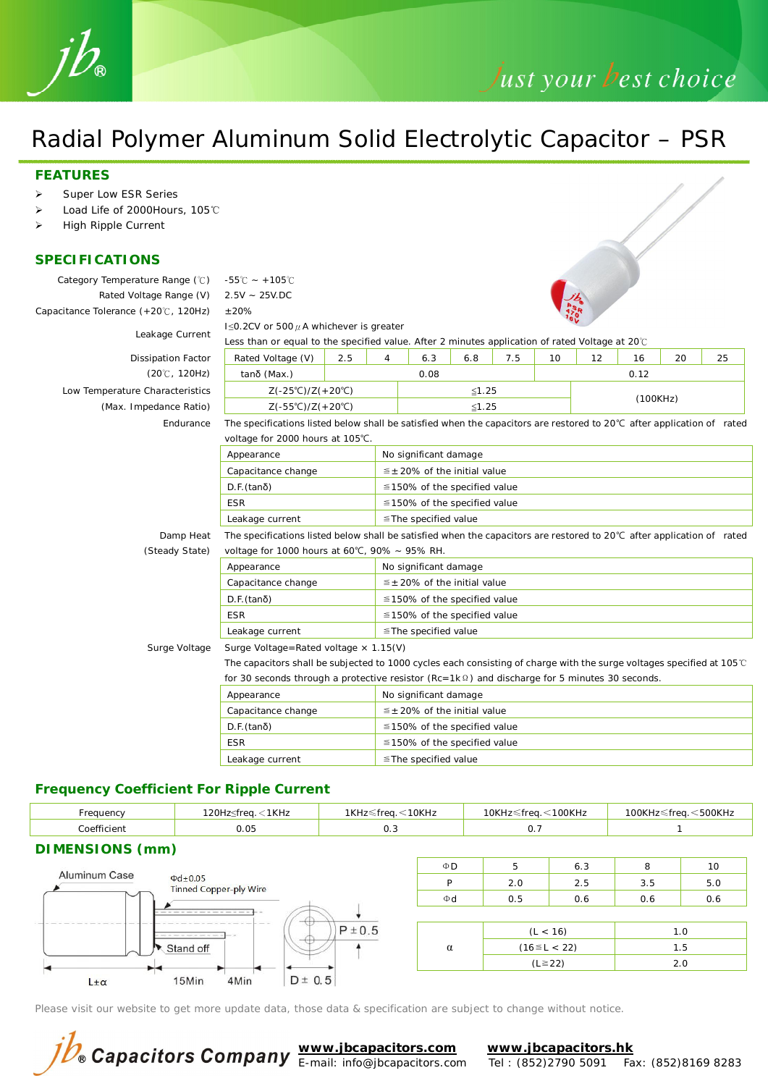

# Just your best choice

# Radial Polymer Aluminum Solid Electrolytic Capacitor – PSR

#### **FEATURES**

- Ø Super Low ESR Series
- Ø Load Life of 2000Hours, 105℃
- Ø High Ripple Current

#### **SPECIFICATIONS**

| Category Temperature Range (°C)      | $-55^{\circ}$ C ~ +105 $^{\circ}$ C                                                                                              |                                              |                                                                                                                                  |                                      |  |  |      |    |    |  |  |
|--------------------------------------|----------------------------------------------------------------------------------------------------------------------------------|----------------------------------------------|----------------------------------------------------------------------------------------------------------------------------------|--------------------------------------|--|--|------|----|----|--|--|
| Rated Voltage Range (V)              | $2.5V - 25V \cdot DC$                                                                                                            |                                              |                                                                                                                                  |                                      |  |  |      |    |    |  |  |
| Capacitance Tolerance (+20°C, 120Hz) | ±20%                                                                                                                             |                                              |                                                                                                                                  |                                      |  |  |      |    |    |  |  |
|                                      | I $\leq$ 0.2CV or 500 $\mu$ A whichever is greater                                                                               |                                              |                                                                                                                                  |                                      |  |  |      |    |    |  |  |
| Leakage Current                      | Less than or equal to the specified value. After 2 minutes application of rated Voltage at 20°C                                  |                                              |                                                                                                                                  |                                      |  |  |      |    |    |  |  |
| <b>Dissipation Factor</b>            | 2.5<br>6.3<br>6.8<br>7.5<br>10 <sup>1</sup><br>Rated Voltage (V)<br>4<br>12                                                      |                                              |                                                                                                                                  |                                      |  |  | 16   | 20 | 25 |  |  |
| $(20^{\circ}C, 120Hz)$               | $tan\delta$ (Max.)                                                                                                               |                                              |                                                                                                                                  | 0.08                                 |  |  | 0.12 |    |    |  |  |
| Low Temperature Characteristics      | $Z(-25^{\circ}C)/Z(+20^{\circ}C)$                                                                                                |                                              |                                                                                                                                  | $≤1.25$                              |  |  |      |    |    |  |  |
| (Max. Impedance Ratio)               | $Z(-55^{\circ}C)/Z(+20^{\circ}C)$                                                                                                |                                              | (100KHz)<br>$≤1.25$                                                                                                              |                                      |  |  |      |    |    |  |  |
| Endurance                            |                                                                                                                                  |                                              | The specifications listed below shall be satisfied when the capacitors are restored to $20^{\circ}$ C after application of rated |                                      |  |  |      |    |    |  |  |
|                                      |                                                                                                                                  | voltage for 2000 hours at 105°C.             |                                                                                                                                  |                                      |  |  |      |    |    |  |  |
|                                      | Appearance                                                                                                                       |                                              |                                                                                                                                  | No significant damage                |  |  |      |    |    |  |  |
|                                      | $\leq \pm 20\%$ of the initial value<br>Capacitance change                                                                       |                                              |                                                                                                                                  |                                      |  |  |      |    |    |  |  |
|                                      | $D.F.$ (tan $\delta$ )<br>$\leq$ 150% of the specified value                                                                     |                                              |                                                                                                                                  |                                      |  |  |      |    |    |  |  |
|                                      | <b>ESR</b><br>$\leq$ 150% of the specified value                                                                                 |                                              |                                                                                                                                  |                                      |  |  |      |    |    |  |  |
|                                      | Leakage current<br>≦The specified value                                                                                          |                                              |                                                                                                                                  |                                      |  |  |      |    |    |  |  |
| Damp Heat                            | The specifications listed below shall be satisfied when the capacitors are restored to $20^{\circ}$ C after application of rated |                                              |                                                                                                                                  |                                      |  |  |      |    |    |  |  |
| (Steady State)                       | voltage for 1000 hours at 60°C, 90% $\sim$ 95% RH.                                                                               |                                              |                                                                                                                                  |                                      |  |  |      |    |    |  |  |
|                                      | Appearance                                                                                                                       |                                              | No significant damage                                                                                                            |                                      |  |  |      |    |    |  |  |
|                                      | Capacitance change                                                                                                               |                                              |                                                                                                                                  | $\leq \pm 20\%$ of the initial value |  |  |      |    |    |  |  |
|                                      | $D.F.$ (tan $\delta$ )                                                                                                           |                                              |                                                                                                                                  | $\leq$ 150% of the specified value   |  |  |      |    |    |  |  |
|                                      | <b>ESR</b>                                                                                                                       |                                              | $\leq$ 150% of the specified value                                                                                               |                                      |  |  |      |    |    |  |  |
|                                      | Leakage current                                                                                                                  |                                              | ≦The specified value                                                                                                             |                                      |  |  |      |    |    |  |  |
| Surge Voltage                        |                                                                                                                                  | Surge Voltage=Rated voltage $\times$ 1.15(V) |                                                                                                                                  |                                      |  |  |      |    |    |  |  |
|                                      | The capacitors shall be subjected to 1000 cycles each consisting of charge with the surge voltages specified at 105°C            |                                              |                                                                                                                                  |                                      |  |  |      |    |    |  |  |
|                                      | for 30 seconds through a protective resistor ( $Rc = 1k\Omega$ ) and discharge for 5 minutes 30 seconds.                         |                                              |                                                                                                                                  |                                      |  |  |      |    |    |  |  |
|                                      | Appearance                                                                                                                       | No significant damage                        |                                                                                                                                  |                                      |  |  |      |    |    |  |  |
|                                      | Capacitance change                                                                                                               |                                              |                                                                                                                                  | $\leq \pm 20\%$ of the initial value |  |  |      |    |    |  |  |
|                                      | $D.F.$ (tan $\delta$ )                                                                                                           |                                              | $\leq$ 150% of the specified value<br>$\leq$ 150% of the specified value<br>$\le$ The specified value                            |                                      |  |  |      |    |    |  |  |
|                                      | <b>ESR</b>                                                                                                                       |                                              |                                                                                                                                  |                                      |  |  |      |    |    |  |  |
|                                      | Leakage current                                                                                                                  |                                              |                                                                                                                                  |                                      |  |  |      |    |    |  |  |
|                                      |                                                                                                                                  |                                              |                                                                                                                                  |                                      |  |  |      |    |    |  |  |

### **Frequency Coefficient For Ripple Current**

| Frequency                     | 120Hz≤freq. < 1KHz           | 1KHz≤freq. < 10KHz |              | 10KHz≤freq. < 100KHz |     | 100KHz≤freq. < 500KHz |     |
|-------------------------------|------------------------------|--------------------|--------------|----------------------|-----|-----------------------|-----|
| Coefficient                   | 0.05<br>0.3                  |                    |              | 0.7                  |     |                       |     |
| DIMENSIONS (mm)               |                              |                    |              |                      |     |                       |     |
| <b>Aluminum Case</b>          | $\Phi D$                     | 5                  | 6.3          | 8                    | 10  |                       |     |
| $\Phi$ d $\pm$ 0.05           | P                            | 2.0                | 2.5          | 3.5                  | 5.0 |                       |     |
| <b>Tinned Copper-ply Wire</b> |                              |                    |              | 0.5                  | 0.6 | 0.6                   | 0.6 |
|                               | $-$ (†)                      | $P \pm 0.5$        |              |                      |     |                       |     |
|                               | $\alpha$                     | (L < 16)           |              | 1.0                  |     |                       |     |
| Stand off                     |                              | $(16 \le L < 22)$  |              | 1.5                  |     |                       |     |
| ▸◀                            |                              |                    | $(L \ge 22)$ |                      | 2.0 |                       |     |
| $L \pm \alpha$                | $D \pm 0.5$<br>15Min<br>4Min |                    |              |                      |     |                       |     |

Please visit our website to get more update data, those data & specification are subject to change without notice.

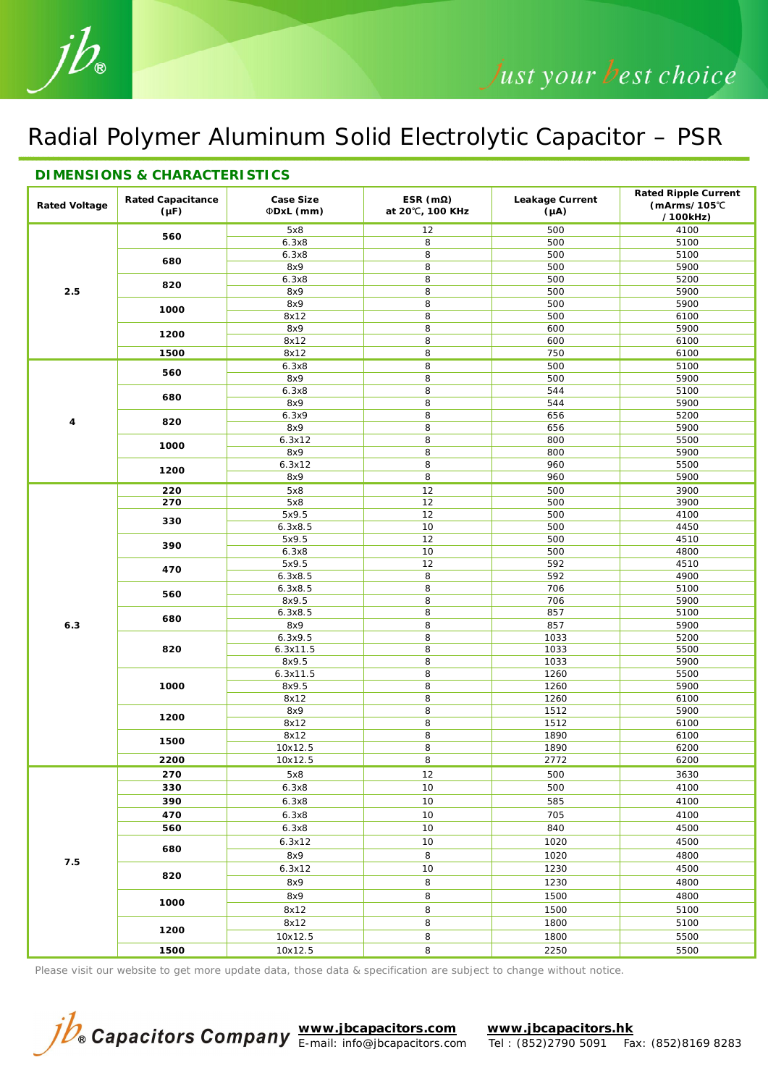## Radial Polymer Aluminum Solid Electrolytic Capacitor – PSR

| Rated Voltage | Rated Capacitance<br>$(\mu F)$ | Case Size<br>ΦDxL (mm) | $ESR(m\Omega)$<br>at 20°C, 100 KHz | Leakage Current<br>$(\mu A)$ | Rated Ripple Current<br>$(mArms/105^{\circ}C)$ |
|---------------|--------------------------------|------------------------|------------------------------------|------------------------------|------------------------------------------------|
|               |                                |                        |                                    |                              | /100kHz)                                       |
|               | 560                            | 5x8                    | 12                                 | 500                          | 4100                                           |
|               |                                | 6.3x8                  | 8                                  | 500                          | 5100                                           |
|               | 680                            | 6.3x8                  | 8                                  | 500                          | 5100                                           |
| 2.5           |                                | 8x9                    | 8                                  | 500                          | 5900                                           |
|               | 820                            | 6.3x8                  | 8                                  | 500                          | 5200                                           |
|               |                                | 8x9                    | 8                                  | 500                          | 5900                                           |
|               | 1000                           | 8x9                    | 8<br>8                             | 500<br>500                   | 5900<br>6100                                   |
|               |                                | 8x12<br>8x9            | 8                                  | 600                          | 5900                                           |
|               | 1200                           | 8x12                   | 8                                  | 600                          | 6100                                           |
|               | 1500                           | 8x12                   | 8                                  | 750                          | 6100                                           |
|               |                                | 6.3x8                  | 8                                  | 500                          | 5100                                           |
|               | 560                            | 8x9                    | 8                                  | 500                          | 5900                                           |
|               |                                | 6.3x8                  | 8                                  | 544                          | 5100                                           |
|               | 680                            | 8x9                    | 8                                  | 544                          | 5900                                           |
|               |                                | 6.3x9                  | 8                                  | 656                          | 5200                                           |
| 4             | 820                            | 8x9                    | 8                                  | 656                          | 5900                                           |
|               |                                | 6.3x12                 | 8                                  | 800                          | 5500                                           |
|               | 1000                           | 8x9                    | 8                                  | 800                          | 5900                                           |
|               |                                | 6.3x12                 | 8                                  | 960                          | 5500                                           |
|               | 1200                           | 8x9                    | 8                                  | 960                          | 5900                                           |
|               | 220                            | 5x8                    | 12                                 | 500                          | 3900                                           |
|               | 270                            | 5x8                    | 12                                 | 500                          | 3900                                           |
|               |                                | 5x9.5                  | 12                                 | 500                          | 4100                                           |
|               | 330                            | 6.3x8.5                | 10                                 | 500                          | 4450                                           |
|               |                                | 5x9.5                  | 12                                 | 500                          | 4510                                           |
|               | 390                            | 6.3x8                  | 10                                 | 500                          | 4800                                           |
|               |                                | 5x9.5                  | 12                                 | 592                          | 4510                                           |
|               | 470                            | 6.3x8.5                | 8                                  | 592                          | 4900                                           |
|               |                                | 6.3x8.5                | 8                                  | 706                          | 5100                                           |
|               | 560                            | 8x9.5                  | 8                                  | 706                          | 5900                                           |
|               |                                | 6.3x8.5                | 8                                  | 857                          | 5100                                           |
| 6.3           | 680                            | 8x9                    | 8                                  | 857                          | 5900                                           |
|               |                                | 6.3x9.5                | 8                                  | 1033                         | 5200                                           |
|               | 820                            | 6.3x11.5               | 8                                  | 1033                         | 5500                                           |
|               |                                | 8x9.5                  | 8                                  | 1033                         | 5900                                           |
|               |                                | 6.3x11.5               | 8                                  | 1260                         | 5500                                           |
|               | 1000                           | 8x9.5                  | 8                                  | 1260                         | 5900                                           |
|               |                                | 8x12                   | 8                                  | 1260                         | 6100                                           |
|               | 1200                           | 8x9                    | 8                                  | 1512                         | 5900                                           |
|               |                                | 8x12                   | 8                                  | 1512                         | 6100                                           |
|               | 1500                           | 8x12                   | 8                                  | 1890                         | 6100                                           |
|               |                                | 10x12.5                | 8                                  | 1890                         | 6200                                           |
|               | 2200                           | 10x12.5                | 8                                  | 2772                         | 6200                                           |
|               | 270                            | 5x8                    | 12                                 | 500                          | 3630                                           |
| 7.5           | 330                            | 6.3x8                  | $10$                               | 500                          | 4100                                           |
|               | 390                            | 6.3x8                  | 10                                 | 585                          | 4100                                           |
|               | 470                            | 6.3x8                  | 10                                 | 705                          | 4100                                           |
|               | 560                            | 6.3x8                  | 10                                 | 840                          | 4500                                           |
|               | 680                            | 6.3x12                 | 10                                 | 1020                         | 4500                                           |
|               |                                | 8x9                    | 8                                  | 1020                         | 4800                                           |
|               | 820<br>1000                    | 6.3x12                 | 10                                 | 1230                         | 4500                                           |
|               |                                | 8x9                    | 8                                  | 1230                         | 4800                                           |
|               |                                |                        |                                    |                              |                                                |
|               |                                | 8x9                    | 8                                  | 1500                         | 4800                                           |
|               |                                | 8x12                   | 8                                  | 1500                         | 5100                                           |
|               | 1200                           | 8x12                   | 8                                  | 1800                         | 5100                                           |
|               |                                | 10x12.5                | 8                                  | 1800                         | 5500                                           |
|               | 1500                           | 10x12.5                | 8                                  | 2250                         | 5500                                           |

Please visit our website to get more update data, those data & specification are subject to change without notice.



**www.jbcapacitors.com www.jbcapacitors.hk**